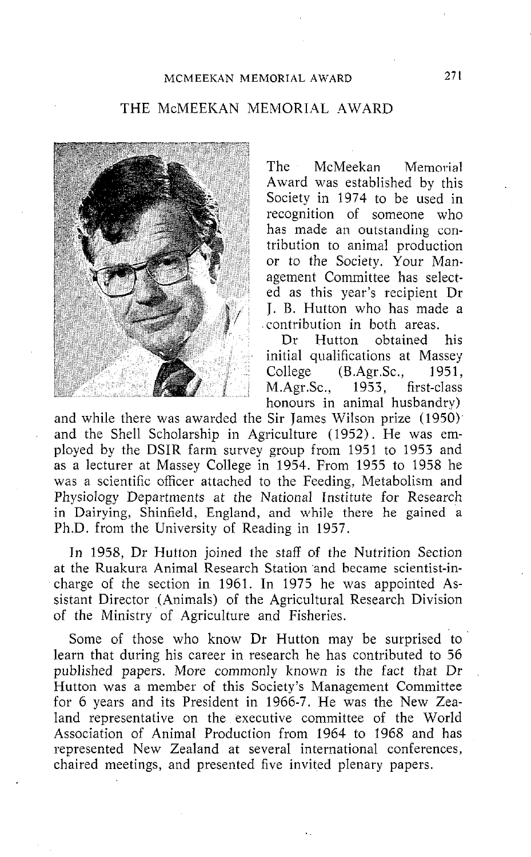## THE McMEEKAN MEMORIAL AWARD



The McMeekan Memorial Award was established by this Society in 1974 to be used in recognition of someone who has made an outstanding contribution to animal production or to the Society. Your Management Committee has selected as this year's recipient Dr J. B. Hutton who has made a contribution in both areas.

Dr Hutton obtained his initial qualifications at Massey<br>College (B.Agr.Sc., 1951, College (B.Agr.Sc., M.Agr.Sc., 1953, first-class honours in animal husbandry)

and while there was awarded the Sir James Wilson prize (195b). and the Shell Scholarship in Agriculture (1952). He was employed by the DSIR farm survey group from 1951 to 1953 and as a lecturer at Massey College in 1954. From 1955 to 1958 he was a scientific officer attached to the Feeding, Metabolism and Physiology Departments at the National Institute for Research in Dairying, Shinfield, England, and while there he gained a Ph.D. from the University of Reading in 1957.

In 1958, Dr Hutton joined the staff of the Nutrition Section at the Ruakura Animal Research Station and became scientist-incharge of the section in 1961. In 1975 he was appointed Assistant Director (Animals) of the Agricultural Research Division of the Ministry. of Agriculture and Fisheries.

Some of those who know Dr Hutton may be surprised to learn that during his career in research he has contributed to 56 published papers. More commonly known is the fact that Dr Hutton was a member of this Society's Management Committee for 6 years and its President in 1966-7. He was the New Zealand representative on the executive committee of the World Association of Animal Production from 1964 to 1968 and has represented New Zealand at several international conferences, chaired meetings, and presented five invited plenary papers.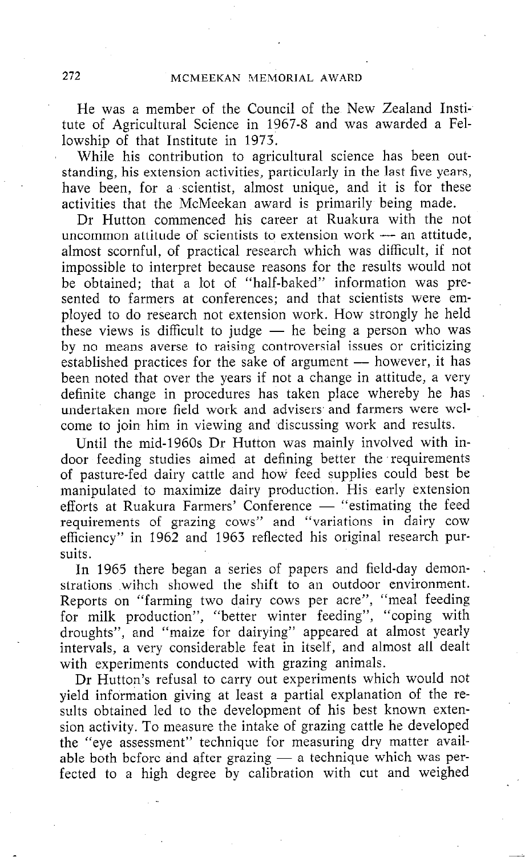He was a member of the Council of the New Zealand Institute of Agricultural Science in 1967-8 and was awarded a Fellowship of that Institute in 1973.

While his contribution to agricultural science has been outstanding, his extension activities, particularly in the last five years, have been, for a scientist, almost unique, and it is for these activities that the McMeekan award is primarily being made.

Dr Hutton commenced his career at Ruakura with the not uncommon attitude of scientists to extension work  $-$  an attitude, almost scornful, of practical research which was difficult, if not impossible to interpret because reasons for the results would not be obtained; that a lot of "half-baked" information was presented to farmers at conferences; and that scientists were employed to do research not extension work. How strongly he held these views is difficult to judge  $-$  he being a person who was by no means averse to raising controversial issues or criticizing established practices for the sake of argument - however, it has been noted that over the years if not a change in attitude, a very definite change in procedures has taken place whereby he has undertaken more field work and advisers and farmers were welcome to join him in viewing and discussing work and results.

Until the mid-1960s Dr Hutton was mainly involved with indoor feeding studies aimed at defining better the 'requirements of pasture-fed dairy cattle and how feed supplies could best be manipulated to maximize dairy production. His early extension efforts at Ruakura Farmers' Conference - "estimating the feed requirements of grazing cows" and "variations in dairy cow efficiency" in 1962 and 1963 reflected his original research pursuits.

In 1965 there began a series of papers and field-day demonstrations wihch showed the shift to an outdoor environment. Reports on "farming two dairy cows per acre", "meal feeding for milk production", "better winter feeding", "coping with droughts", and "maize for dairying" appeared at almost yearly intervals, a very considerable feat in itself, and almost all dealt with experiments conducted with grazing animals.

Dr Hutton's refusal to carry out experiments which would not yield information giving at least a partial explanation of the results obtained led to the development of his best known extension activity. To measure the intake of grazing cattle he developed the "eye assessment" technique for measuring dry matter available both before and after grazing  $-$  a technique which was perfected to a high degree by calibration with cut and weighed